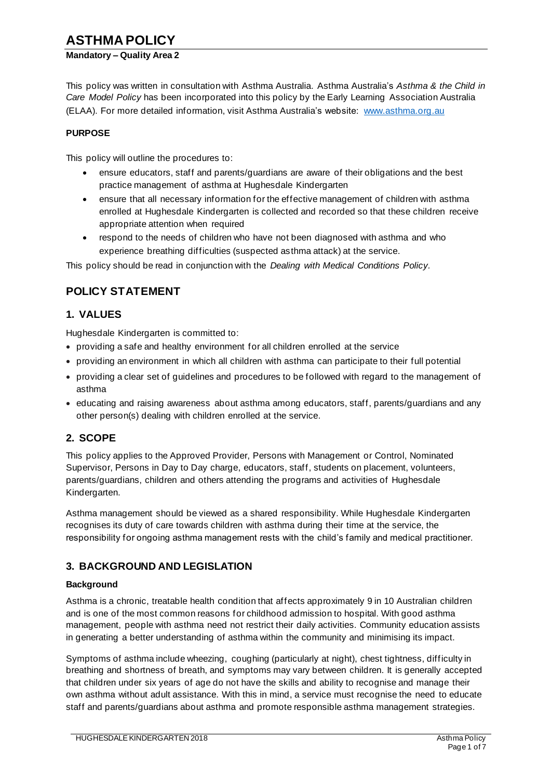# **ASTHMA POLICY**

#### **Mandatory – Quality Area 2**

This policy was written in consultation with Asthma Australia. Asthma Australia's *Asthma & the Child in Care Model Policy* has been incorporated into this policy by the Early Learning Association Australia (ELAA). For more detailed information, visit Asthma Australia's website: www.asthma.org.au

#### **PURPOSE**

This policy will outline the procedures to:

- ensure educators, staff and parents/guardians are aware of their obligations and the best practice management of asthma at Hughesdale Kindergarten
- ensure that all necessary information for the effective management of children with asthma enrolled at Hughesdale Kindergarten is collected and recorded so that these children receive appropriate attention when required
- respond to the needs of children who have not been diagnosed with asthma and who experience breathing difficulties (suspected asthma attack) at the service.

This policy should be read in conjunction with the *Dealing with Medical Conditions Policy.*

# **POLICY STATEMENT**

### **1. VALUES**

Hughesdale Kindergarten is committed to:

- providing a safe and healthy environment for all children enrolled at the service
- providing an environment in which all children with asthma can participate to their full potential
- providing a clear set of guidelines and procedures to be followed with regard to the management of asthma
- educating and raising awareness about asthma among educators, staff, parents/guardians and any other person(s) dealing with children enrolled at the service.

### **2. SCOPE**

This policy applies to the Approved Provider, Persons with Management or Control, Nominated Supervisor, Persons in Day to Day charge, educators, staff, students on placement, volunteers, parents/guardians, children and others attending the programs and activities of Hughesdale Kindergarten.

Asthma management should be viewed as a shared responsibility. While Hughesdale Kindergarten recognises its duty of care towards children with asthma during their time at the service, the responsibility for ongoing asthma management rests with the child's family and medical practitioner.

### **3. BACKGROUND AND LEGISLATION**

#### **Background**

Asthma is a chronic, treatable health condition that affects approximately 9 in 10 Australian children and is one of the most common reasons for childhood admission to hospital. With good asthma management, people with asthma need not restrict their daily activities. Community education assists in generating a better understanding of asthma within the community and minimising its impact.

Symptoms of asthma include wheezing, coughing (particularly at night), chest tightness, difficulty in breathing and shortness of breath, and symptoms may vary between children. It is generally accepted that children under six years of age do not have the skills and ability to recognise and manage their own asthma without adult assistance. With this in mind, a service must recognise the need to educate staff and parents/guardians about asthma and promote responsible asthma management strategies.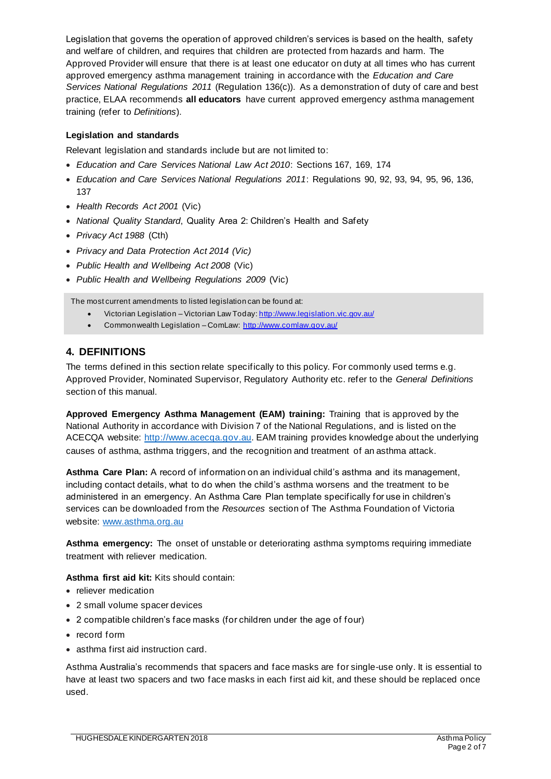Legislation that governs the operation of approved children's services is based on the health, safety and welfare of children, and requires that children are protected from hazards and harm. The Approved Provider will ensure that there is at least one educator on duty at all times who has current approved emergency asthma management training in accordance with the *Education and Care Services National Regulations 2011* (Regulation 136(c)). As a demonstration of duty of care and best practice, ELAA recommends **all educators** have current approved emergency asthma management training (refer to *Definitions*).

#### **Legislation and standards**

Relevant legislation and standards include but are not limited to:

- *Education and Care Services National Law Act 2010*: Sections 167, 169, 174
- *Education and Care Services National Regulations 2011*: Regulations 90, 92, 93, 94, 95, 96, 136, 137
- *Health Records Act 2001* (Vic)
- *National Quality Standard*, Quality Area 2: Children's Health and Safety
- *Privacy Act 1988* (Cth)
- *Privacy and Data Protection Act 2014 (Vic)*
- *Public Health and Wellbeing Act 2008* (Vic)
- *Public Health and Wellbeing Regulations 2009* (Vic)

The most current amendments to listed legislation can be found at:

- Victorian Legislation Victorian Law Today: http://www.legislation.vic.gov.au/
- Commonwealth Legislation ComLaw: http://www.comlaw.gov.au/

### **4. DEFINITIONS**

The terms defined in this section relate specifically to this policy. For commonly used terms e.g. Approved Provider, Nominated Supervisor, Regulatory Authority etc. refer to the *General Definitions* section of this manual.

**Approved Emergency Asthma Management (EAM) training:** Training that is approved by the National Authority in accordance with Division 7 of the National Regulations, and is listed on the ACECQA website: http://www.acecqa.gov.au. EAM training provides knowledge about the underlying causes of asthma, asthma triggers, and the recognition and treatment of an asthma attack.

**Asthma Care Plan:** A record of information on an individual child's asthma and its management, including contact details, what to do when the child's asthma worsens and the treatment to be administered in an emergency. An Asthma Care Plan template specifically for use in children's services can be downloaded from the *Resources* section of The Asthma Foundation of Victoria website: www.asthma.org.au

**Asthma emergency:** The onset of unstable or deteriorating asthma symptoms requiring immediate treatment with reliever medication.

**Asthma first aid kit:** Kits should contain:

- reliever medication
- 2 small volume spacer devices
- 2 compatible children's face masks (for children under the age of four)
- record form
- asthma first aid instruction card.

Asthma Australia's recommends that spacers and face masks are for single-use only. It is essential to have at least two spacers and two face masks in each first aid kit, and these should be replaced once used.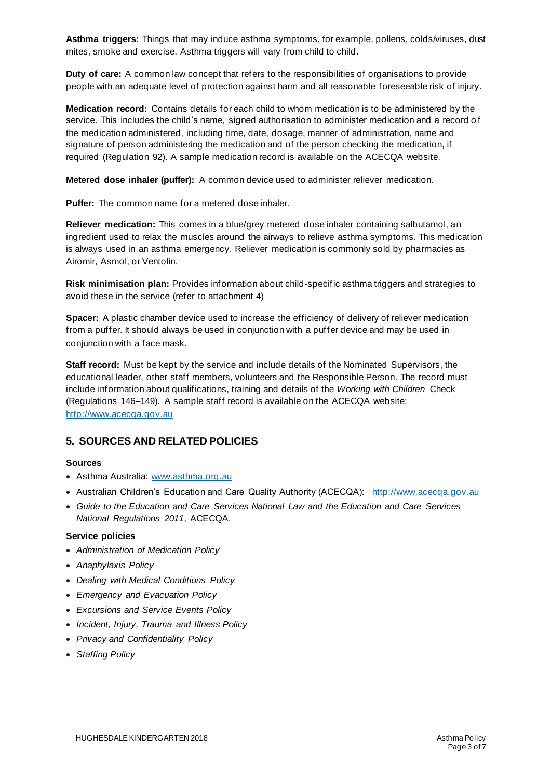**Asthma triggers:** Things that may induce asthma symptoms, for example, pollens, colds/viruses, dust mites, smoke and exercise. Asthma triggers will vary from child to child.

**Duty of care:** A common law concept that refers to the responsibilities of organisations to provide people with an adequate level of protection against harm and all reasonable foreseeable risk of injury.

**Medication record:** Contains details for each child to whom medication is to be administered by the service. This includes the child's name, signed authorisation to administer medication and a record of the medication administered, including time, date, dosage, manner of administration, name and signature of person administering the medication and of the person checking the medication, if required (Regulation 92). A sample medication record is available on the ACECQA website.

**Metered dose inhaler (puffer):** A common device used to administer reliever medication.

**Puffer:** The common name for a metered dose inhaler.

**Reliever medication:** This comes in a blue/grey metered dose inhaler containing salbutamol, an ingredient used to relax the muscles around the airways to relieve asthma symptoms. This medication is always used in an asthma emergency. Reliever medication is commonly sold by pharmacies as Airomir, Asmol, or Ventolin.

**Risk minimisation plan:** Provides information about child-specific asthma triggers and strategies to avoid these in the service (refer to attachment 4)

**Spacer:** A plastic chamber device used to increase the efficiency of delivery of reliever medication from a puffer. It should always be used in conjunction with a puffer device and may be used in conjunction with a face mask.

**Staff record:** Must be kept by the service and include details of the Nominated Supervisors, the educational leader, other staff members, volunteers and the Responsible Person. The record must include information about qualifications, training and details of the *Working with Children* Check (Regulations 146–149). A sample staff record is available on the ACECQA website: http://www.acecqa.gov.au

#### **5. SOURCES AND RELATED POLICIES**

#### **Sources**

- Asthma Australia: www.asthma.org.au
- Australian Children's Education and Care Quality Authority (ACECQA): http://www.acecqa.gov.au
- *Guide to the Education and Care Services National Law and the Education and Care Services National Regulations 2011*, ACECQA.

#### **Service policies**

- *Administration of Medication Policy*
- *Anaphylaxis Policy*
- *Dealing with Medical Conditions Policy*
- *Emergency and Evacuation Policy*
- *Excursions and Service Events Policy*
- *Incident, Injury, Trauma and Illness Policy*
- *Privacy and Confidentiality Policy*
- *Staffing Policy*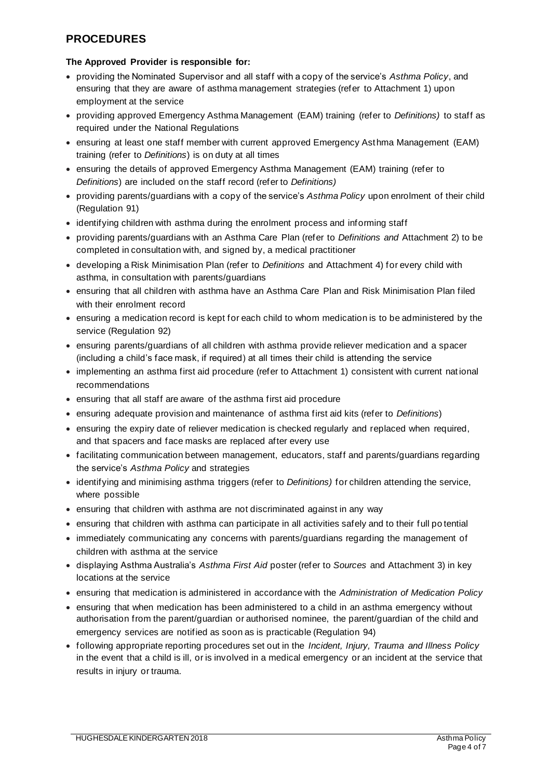# **PROCEDURES**

#### **The Approved Provider is responsible for:**

- providing the Nominated Supervisor and all staff with a copy of the service's *Asthma Policy*, and ensuring that they are aware of asthma management strategies (refer to Attachment 1) upon employment at the service
- providing approved Emergency Asthma Management (EAM) training (refer to *Definitions)* to staff as required under the National Regulations
- ensuring at least one staff member with current approved Emergency Asthma Management (EAM) training (refer to *Definitions*) is on duty at all times
- ensuring the details of approved Emergency Asthma Management (EAM) training (refer to *Definitions*) are included on the staff record (refer to *Definitions)*
- providing parents/guardians with a copy of the service's *Asthma Policy* upon enrolment of their child (Regulation 91)
- identifying children with asthma during the enrolment process and informing staff
- providing parents/guardians with an Asthma Care Plan (refer to *Definitions and* Attachment 2) to be completed in consultation with, and signed by, a medical practitioner
- developing a Risk Minimisation Plan (refer to *Definitions* and Attachment 4) for every child with asthma, in consultation with parents/guardians
- ensuring that all children with asthma have an Asthma Care Plan and Risk Minimisation Plan filed with their enrolment record
- ensuring a medication record is kept for each child to whom medication is to be administered by the service (Regulation 92)
- ensuring parents/guardians of all children with asthma provide reliever medication and a spacer (including a child's face mask, if required) at all times their child is attending the service
- implementing an asthma first aid procedure (refer to Attachment 1) consistent with current nat ional recommendations
- ensuring that all staff are aware of the asthma first aid procedure
- ensuring adequate provision and maintenance of asthma first aid kits (refer to *Definitions*)
- ensuring the expiry date of reliever medication is checked regularly and replaced when required, and that spacers and face masks are replaced after every use
- facilitating communication between management, educators, staff and parents/guardians regarding the service's *Asthma Policy* and strategies
- identifying and minimising asthma triggers (refer to *Definitions)* for children attending the service, where possible
- ensuring that children with asthma are not discriminated against in any way
- ensuring that children with asthma can participate in all activities safely and to their full po tential
- immediately communicating any concerns with parents/guardians regarding the management of children with asthma at the service
- displaying Asthma Australia's *Asthma First Aid* poster (refer to *Sources* and Attachment 3) in key locations at the service
- ensuring that medication is administered in accordance with the *Administration of Medication Policy*
- ensuring that when medication has been administered to a child in an asthma emergency without authorisation from the parent/guardian or authorised nominee, the parent/guardian of the child and emergency services are notified as soon as is practicable (Regulation 94)
- following appropriate reporting procedures set out in the *Incident, Injury, Trauma and Illness Policy* in the event that a child is ill, or is involved in a medical emergency or an incident at the service that results in injury or trauma.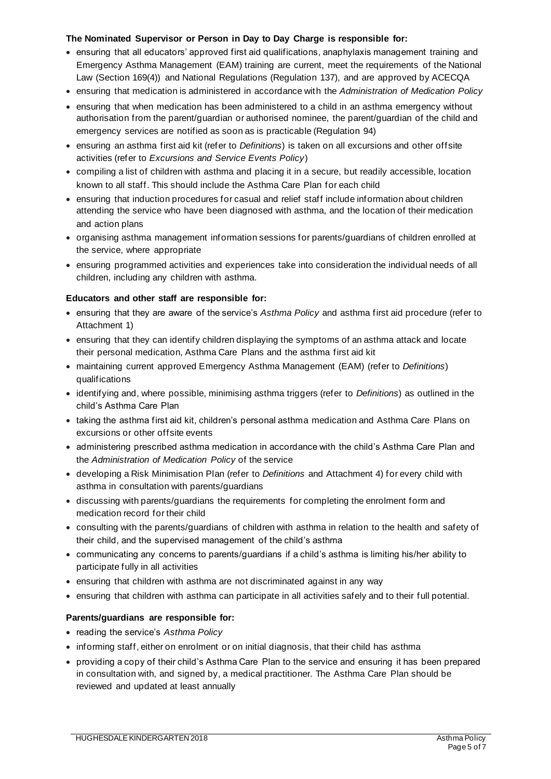#### **The Nominated Supervisor or Person in Day to Day Charge is responsible for:**

- ensuring that all educators' approved first aid qualifications, anaphylaxis management training and Emergency Asthma Management (EAM) training are current, meet the requirements of the National Law (Section 169(4)) and National Regulations (Regulation 137), and are approved by ACECQA
- ensuring that medication is administered in accordance with the *Administration of Medication Policy*
- ensuring that when medication has been administered to a child in an asthma emergency without authorisation from the parent/guardian or authorised nominee, the parent/guardian of the child and emergency services are notified as soon as is practicable (Regulation 94)
- ensuring an asthma first aid kit (refer to *Definitions*) is taken on all excursions and other offsite activities (refer to *Excursions and Service Events Policy*)
- compiling a list of children with asthma and placing it in a secure, but readily accessible, location known to all staff. This should include the Asthma Care Plan for each child
- ensuring that induction procedures for casual and relief staff include information about children attending the service who have been diagnosed with asthma, and the location of their medication and action plans
- organising asthma management information sessions for parents/guardians of children enrolled at the service, where appropriate
- ensuring programmed activities and experiences take into consideration the individual needs of all children, including any children with asthma.

#### **Educators and other staff are responsible for:**

- ensuring that they are aware of the service's *Asthma Policy* and asthma first aid procedure (refer to Attachment 1)
- ensuring that they can identify children displaying the symptoms of an asthma attack and locate their personal medication, Asthma Care Plans and the asthma first aid kit
- maintaining current approved Emergency Asthma Management (EAM) (refer to *Definitions*) qualifications
- identifying and, where possible, minimising asthma triggers (refer to *Definitions*) as outlined in the child's Asthma Care Plan
- taking the asthma first aid kit, children's personal asthma medication and Asthma Care Plans on excursions or other offsite events
- administering prescribed asthma medication in accordance with the child's Asthma Care Plan and the *Administration of Medication Policy* of the service
- developing a Risk Minimisation Plan (refer to *Definitions* and Attachment 4) for every child with asthma in consultation with parents/guardians
- discussing with parents/guardians the requirements for completing the enrolment form and medication record for their child
- consulting with the parents/guardians of children with asthma in relation to the health and safety of their child, and the supervised management of the child's asthma
- communicating any concerns to parents/guardians if a child's asthma is limiting his/her ability to participate fully in all activities
- ensuring that children with asthma are not discriminated against in any way
- ensuring that children with asthma can participate in all activities safely and to their full potential.

#### **Parents/guardians are responsible for:**

- reading the service's *Asthma Policy*
- informing staff, either on enrolment or on initial diagnosis, that their child has asthma
- providing a copy of their child's Asthma Care Plan to the service and ensuring it has been prepared in consultation with, and signed by, a medical practitioner. The Asthma Care Plan should be reviewed and updated at least annually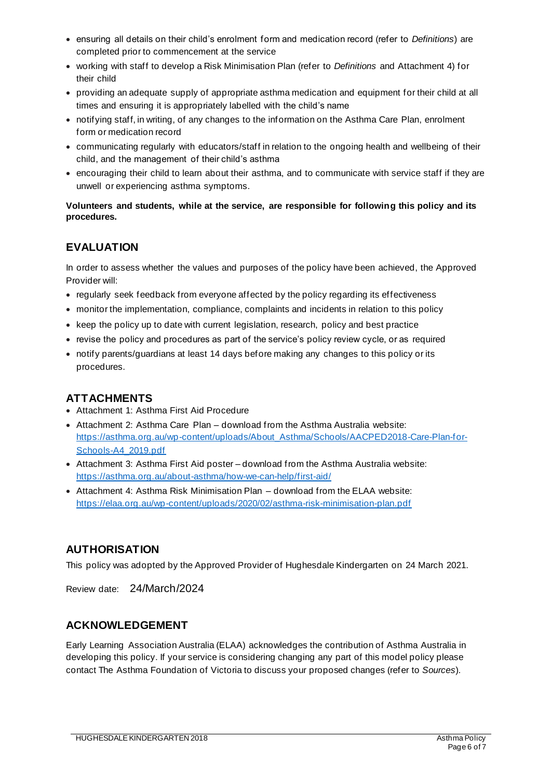- ensuring all details on their child's enrolment form and medication record (refer to *Definitions*) are completed prior to commencement at the service
- working with staff to develop a Risk Minimisation Plan (refer to *Definitions* and Attachment 4) for their child
- providing an adequate supply of appropriate asthma medication and equipment for their child at all times and ensuring it is appropriately labelled with the child's name
- notifying staff, in writing, of any changes to the information on the Asthma Care Plan, enrolment form or medication record
- communicating regularly with educators/staff in relation to the ongoing health and wellbeing of their child, and the management of their child's asthma
- encouraging their child to learn about their asthma, and to communicate with service staff if they are unwell or experiencing asthma symptoms.

#### **Volunteers and students, while at the service, are responsible for following this policy and its procedures.**

# **EVALUATION**

In order to assess whether the values and purposes of the policy have been achieved, the Approved Provider will:

- regularly seek feedback from everyone affected by the policy regarding its effectiveness
- monitor the implementation, compliance, complaints and incidents in relation to this policy
- keep the policy up to date with current legislation, research, policy and best practice
- revise the policy and procedures as part of the service's policy review cycle, or as required
- notify parents/guardians at least 14 days before making any changes to this policy or its procedures.

## **ATTACHMENTS**

- Attachment 1: Asthma First Aid Procedure
- Attachment 2: Asthma Care Plan download from the Asthma Australia website: https://asthma.org.au/wp-content/uploads/About\_Asthma/Schools/AACPED2018-Care-Plan-for-Schools-A4\_2019.pdf
- Attachment 3: Asthma First Aid poster download from the Asthma Australia website: https://asthma.org.au/about-asthma/how-we-can-help/first-aid/
- Attachment 4: Asthma Risk Minimisation Plan download from the ELAA website: https://elaa.org.au/wp-content/uploads/2020/02/asthma-risk-minimisation-plan.pdf

## **AUTHORISATION**

This policy was adopted by the Approved Provider of Hughesdale Kindergarten on 24 March 2021.

Review date: 24/March/2024

### **ACKNOWLEDGEMENT**

Early Learning Association Australia (ELAA) acknowledges the contribution of Asthma Australia in developing this policy. If your service is considering changing any part of this model policy please contact The Asthma Foundation of Victoria to discuss your proposed changes (refer to *Sources*).